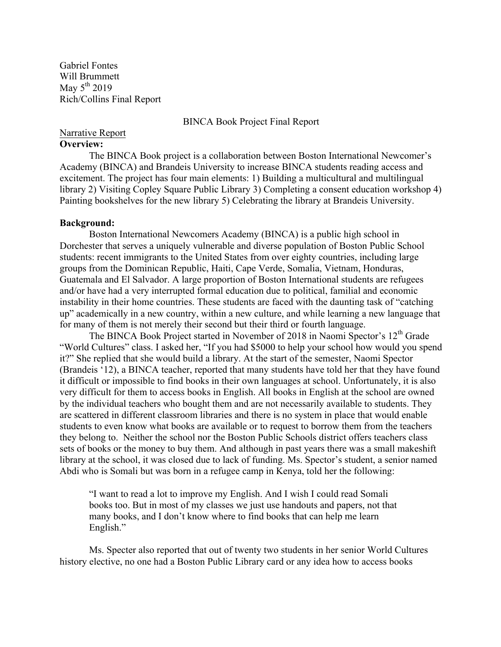Gabriel Fontes Will Brummett May  $5^{th}$  2019 Rich/Collins Final Report

BINCA Book Project Final Report

### Narrative Report **Overview:**

The BINCA Book project is a collaboration between Boston International Newcomer's Academy (BINCA) and Brandeis University to increase BINCA students reading access and excitement. The project has four main elements: 1) Building a multicultural and multilingual library 2) Visiting Copley Square Public Library 3) Completing a consent education workshop 4) Painting bookshelves for the new library 5) Celebrating the library at Brandeis University.

# **Background:**

Boston International Newcomers Academy (BINCA) is a public high school in Dorchester that serves a uniquely vulnerable and diverse population of Boston Public School students: recent immigrants to the United States from over eighty countries, including large groups from the Dominican Republic, Haiti, Cape Verde, Somalia, Vietnam, Honduras, Guatemala and El Salvador. A large proportion of Boston International students are refugees and/or have had a very interrupted formal education due to political, familial and economic instability in their home countries. These students are faced with the daunting task of "catching up" academically in a new country, within a new culture, and while learning a new language that for many of them is not merely their second but their third or fourth language.

The BINCA Book Project started in November of 2018 in Naomi Spector's 12<sup>th</sup> Grade "World Cultures" class. I asked her, "If you had \$5000 to help your school how would you spend it?" She replied that she would build a library. At the start of the semester, Naomi Spector (Brandeis '12), a BINCA teacher, reported that many students have told her that they have found it difficult or impossible to find books in their own languages at school. Unfortunately, it is also very difficult for them to access books in English. All books in English at the school are owned by the individual teachers who bought them and are not necessarily available to students. They are scattered in different classroom libraries and there is no system in place that would enable students to even know what books are available or to request to borrow them from the teachers they belong to. Neither the school nor the Boston Public Schools district offers teachers class sets of books or the money to buy them. And although in past years there was a small makeshift library at the school, it was closed due to lack of funding. Ms. Spector's student, a senior named Abdi who is Somali but was born in a refugee camp in Kenya, told her the following:

"I want to read a lot to improve my English. And I wish I could read Somali books too. But in most of my classes we just use handouts and papers, not that many books, and I don't know where to find books that can help me learn English."

Ms. Specter also reported that out of twenty two students in her senior World Cultures history elective, no one had a Boston Public Library card or any idea how to access books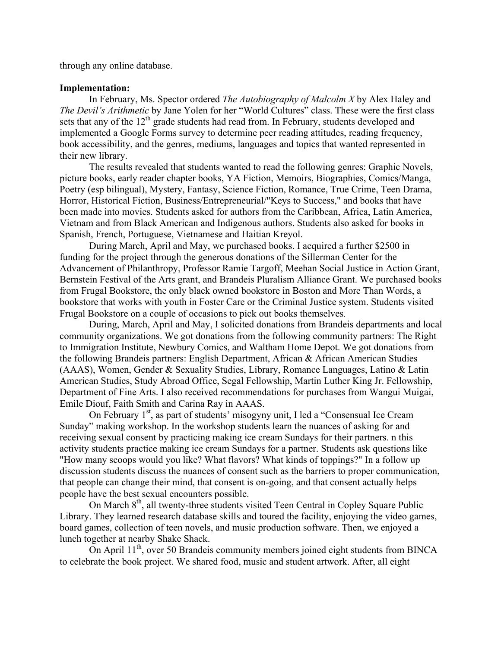through any online database.

## **Implementation:**

In February, Ms. Spector ordered *The Autobiography of Malcolm X* by Alex Haley and *The Devil's Arithmetic* by Jane Yolen for her "World Cultures" class. These were the first class sets that any of the  $12<sup>th</sup>$  grade students had read from. In February, students developed and implemented a Google Forms survey to determine peer reading attitudes, reading frequency, book accessibility, and the genres, mediums, languages and topics that wanted represented in their new library.

The results revealed that students wanted to read the following genres: Graphic Novels, picture books, early reader chapter books, YA Fiction, Memoirs, Biographies, Comics/Manga, Poetry (esp bilingual), Mystery, Fantasy, Science Fiction, Romance, True Crime, Teen Drama, Horror, Historical Fiction, Business/Entrepreneurial/"Keys to Success," and books that have been made into movies. Students asked for authors from the Caribbean, Africa, Latin America, Vietnam and from Black American and Indigenous authors. Students also asked for books in Spanish, French, Portuguese, Vietnamese and Haitian Kreyol.

During March, April and May, we purchased books. I acquired a further \$2500 in funding for the project through the generous donations of the Sillerman Center for the Advancement of Philanthropy, Professor Ramie Targoff, Meehan Social Justice in Action Grant, Bernstein Festival of the Arts grant, and Brandeis Pluralism Alliance Grant. We purchased books from Frugal Bookstore, the only black owned bookstore in Boston and More Than Words, a bookstore that works with youth in Foster Care or the Criminal Justice system. Students visited Frugal Bookstore on a couple of occasions to pick out books themselves.

During, March, April and May, I solicited donations from Brandeis departments and local community organizations. We got donations from the following community partners: The Right to Immigration Institute, Newbury Comics, and Waltham Home Depot. We got donations from the following Brandeis partners: English Department, African & African American Studies (AAAS), Women, Gender & Sexuality Studies, Library, Romance Languages, Latino & Latin American Studies, Study Abroad Office, Segal Fellowship, Martin Luther King Jr. Fellowship, Department of Fine Arts. I also received recommendations for purchases from Wangui Muigai, Emile Diouf, Faith Smith and Carina Ray in AAAS.

On February 1<sup>st</sup>, as part of students' misogyny unit, I led a "Consensual Ice Cream" Sunday" making workshop. In the workshop students learn the nuances of asking for and receiving sexual consent by practicing making ice cream Sundays for their partners. n this activity students practice making ice cream Sundays for a partner. Students ask questions like "How many scoops would you like? What flavors? What kinds of toppings?" In a follow up discussion students discuss the nuances of consent such as the barriers to proper communication, that people can change their mind, that consent is on-going, and that consent actually helps people have the best sexual encounters possible.

On March 8<sup>th</sup>, all twenty-three students visited Teen Central in Copley Square Public Library. They learned research database skills and toured the facility, enjoying the video games, board games, collection of teen novels, and music production software. Then, we enjoyed a lunch together at nearby Shake Shack.

On April  $11^{th}$ , over 50 Brandeis community members joined eight students from BINCA to celebrate the book project. We shared food, music and student artwork. After, all eight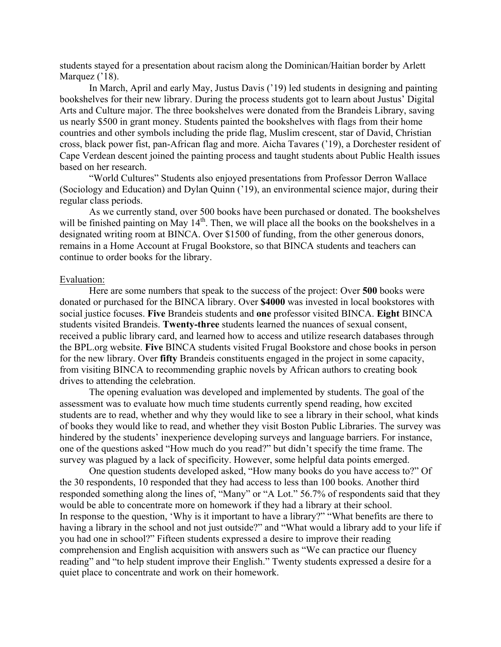students stayed for a presentation about racism along the Dominican/Haitian border by Arlett Marquez ('18).

In March, April and early May, Justus Davis ('19) led students in designing and painting bookshelves for their new library. During the process students got to learn about Justus' Digital Arts and Culture major. The three bookshelves were donated from the Brandeis Library, saving us nearly \$500 in grant money. Students painted the bookshelves with flags from their home countries and other symbols including the pride flag, Muslim crescent, star of David, Christian cross, black power fist, pan-African flag and more. Aicha Tavares ('19), a Dorchester resident of Cape Verdean descent joined the painting process and taught students about Public Health issues based on her research.

"World Cultures" Students also enjoyed presentations from Professor Derron Wallace (Sociology and Education) and Dylan Quinn ('19), an environmental science major, during their regular class periods.

As we currently stand, over 500 books have been purchased or donated. The bookshelves will be finished painting on May 14<sup>th</sup>. Then, we will place all the books on the bookshelves in a designated writing room at BINCA. Over \$1500 of funding, from the other generous donors, remains in a Home Account at Frugal Bookstore, so that BINCA students and teachers can continue to order books for the library.

#### Evaluation:

Here are some numbers that speak to the success of the project: Over **500** books were donated or purchased for the BINCA library. Over **\$4000** was invested in local bookstores with social justice focuses. **Five** Brandeis students and **one** professor visited BINCA. **Eight** BINCA students visited Brandeis. **Twenty-three** students learned the nuances of sexual consent, received a public library card, and learned how to access and utilize research databases through the BPL.org website. **Five** BINCA students visited Frugal Bookstore and chose books in person for the new library. Over **fifty** Brandeis constituents engaged in the project in some capacity, from visiting BINCA to recommending graphic novels by African authors to creating book drives to attending the celebration.

The opening evaluation was developed and implemented by students. The goal of the assessment was to evaluate how much time students currently spend reading, how excited students are to read, whether and why they would like to see a library in their school, what kinds of books they would like to read, and whether they visit Boston Public Libraries. The survey was hindered by the students' inexperience developing surveys and language barriers. For instance, one of the questions asked "How much do you read?" but didn't specify the time frame. The survey was plagued by a lack of specificity. However, some helpful data points emerged.

One question students developed asked, "How many books do you have access to?" Of the 30 respondents, 10 responded that they had access to less than 100 books. Another third responded something along the lines of, "Many" or "A Lot." 56.7% of respondents said that they would be able to concentrate more on homework if they had a library at their school. In response to the question, 'Why is it important to have a library?" "What benefits are there to having a library in the school and not just outside?" and "What would a library add to your life if you had one in school?" Fifteen students expressed a desire to improve their reading comprehension and English acquisition with answers such as "We can practice our fluency reading" and "to help student improve their English." Twenty students expressed a desire for a quiet place to concentrate and work on their homework.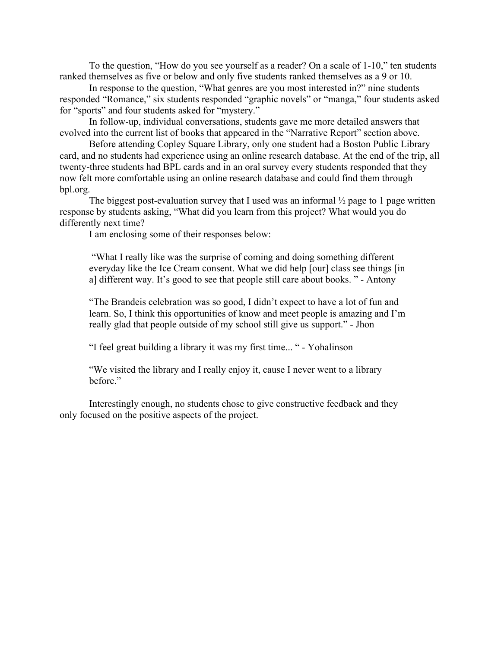To the question, "How do you see yourself as a reader? On a scale of 1-10," ten students ranked themselves as five or below and only five students ranked themselves as a 9 or 10.

In response to the question, "What genres are you most interested in?" nine students responded "Romance," six students responded "graphic novels" or "manga," four students asked for "sports" and four students asked for "mystery."

In follow-up, individual conversations, students gave me more detailed answers that evolved into the current list of books that appeared in the "Narrative Report" section above.

Before attending Copley Square Library, only one student had a Boston Public Library card, and no students had experience using an online research database. At the end of the trip, all twenty-three students had BPL cards and in an oral survey every students responded that they now felt more comfortable using an online research database and could find them through bpl.org.

The biggest post-evaluation survey that I used was an informal  $\frac{1}{2}$  page to 1 page written response by students asking, "What did you learn from this project? What would you do differently next time?

I am enclosing some of their responses below:

"What I really like was the surprise of coming and doing something different everyday like the Ice Cream consent. What we did help [our] class see things [in a] different way. It's good to see that people still care about books. " - Antony

"The Brandeis celebration was so good, I didn't expect to have a lot of fun and learn. So, I think this opportunities of know and meet people is amazing and I'm really glad that people outside of my school still give us support." - Jhon

"I feel great building a library it was my first time... " - Yohalinson

"We visited the library and I really enjoy it, cause I never went to a library before."

Interestingly enough, no students chose to give constructive feedback and they only focused on the positive aspects of the project.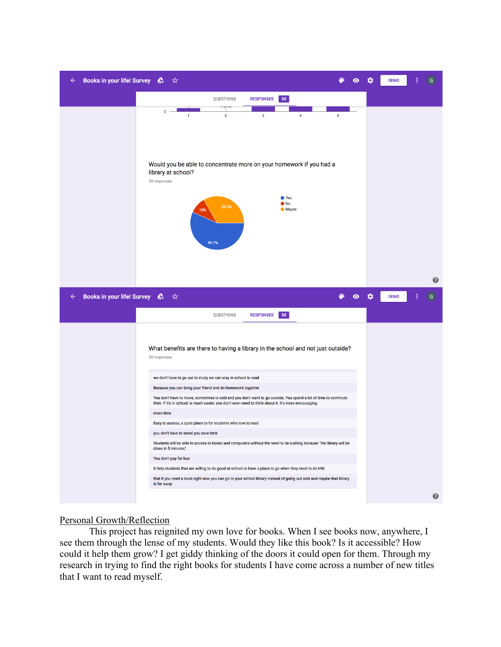

# Personal Growth/Reflection

This project has reignited my own love for books. When I see books now, anywhere, I see them through the lense of my students. Would they like this book? Is it accessible? How could it help them grow? I get giddy thinking of the doors it could open for them. Through my research in trying to find the right books for students I have come across a number of new titles that I want to read myself.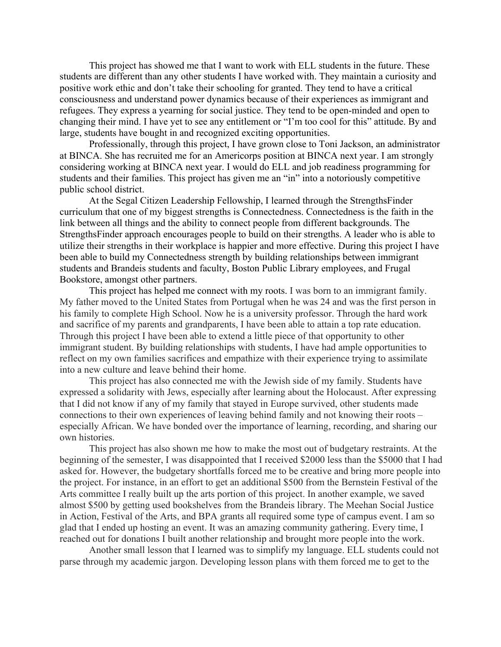This project has showed me that I want to work with ELL students in the future. These students are different than any other students I have worked with. They maintain a curiosity and positive work ethic and don't take their schooling for granted. They tend to have a critical consciousness and understand power dynamics because of their experiences as immigrant and refugees. They express a yearning for social justice. They tend to be open-minded and open to changing their mind. I have yet to see any entitlement or "I'm too cool for this" attitude. By and large, students have bought in and recognized exciting opportunities.

Professionally, through this project, I have grown close to Toni Jackson, an administrator at BINCA. She has recruited me for an Americorps position at BINCA next year. I am strongly considering working at BINCA next year. I would do ELL and job readiness programming for students and their families. This project has given me an "in" into a notoriously competitive public school district.

At the Segal Citizen Leadership Fellowship, I learned through the StrengthsFinder curriculum that one of my biggest strengths is Connectedness. Connectedness is the faith in the link between all things and the ability to connect people from different backgrounds. The StrengthsFinder approach encourages people to build on their strengths. A leader who is able to utilize their strengths in their workplace is happier and more effective. During this project I have been able to build my Connectedness strength by building relationships between immigrant students and Brandeis students and faculty, Boston Public Library employees, and Frugal Bookstore, amongst other partners.

This project has helped me connect with my roots. I was born to an immigrant family. My father moved to the United States from Portugal when he was 24 and was the first person in his family to complete High School. Now he is a university professor. Through the hard work and sacrifice of my parents and grandparents, I have been able to attain a top rate education. Through this project I have been able to extend a little piece of that opportunity to other immigrant student. By building relationships with students, I have had ample opportunities to reflect on my own families sacrifices and empathize with their experience trying to assimilate into a new culture and leave behind their home.

This project has also connected me with the Jewish side of my family. Students have expressed a solidarity with Jews, especially after learning about the Holocaust. After expressing that I did not know if any of my family that stayed in Europe survived, other students made connections to their own experiences of leaving behind family and not knowing their roots – especially African. We have bonded over the importance of learning, recording, and sharing our own histories.

This project has also shown me how to make the most out of budgetary restraints. At the beginning of the semester, I was disappointed that I received \$2000 less than the \$5000 that I had asked for. However, the budgetary shortfalls forced me to be creative and bring more people into the project. For instance, in an effort to get an additional \$500 from the Bernstein Festival of the Arts committee I really built up the arts portion of this project. In another example, we saved almost \$500 by getting used bookshelves from the Brandeis library. The Meehan Social Justice in Action, Festival of the Arts, and BPA grants all required some type of campus event. I am so glad that I ended up hosting an event. It was an amazing community gathering. Every time, I reached out for donations I built another relationship and brought more people into the work.

Another small lesson that I learned was to simplify my language. ELL students could not parse through my academic jargon. Developing lesson plans with them forced me to get to the